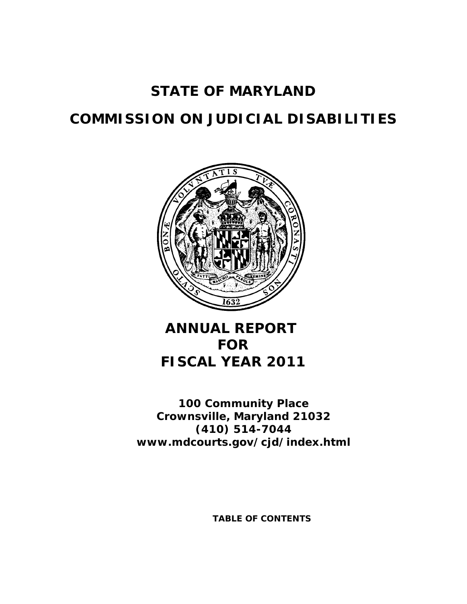# **STATE OF MARYLAND**

# **COMMISSION ON JUDICIAL DISABILITIES**



# **ANNUAL REPORT FOR FISCAL YEAR 2011**

**100 Community Place Crownsville, Maryland 21032 (410) 514-7044 www.mdcourts.gov/cjd/index.html**

**TABLE OF CONTENTS**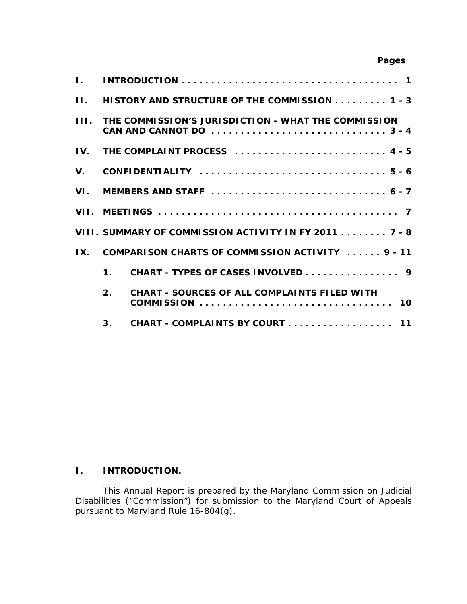# **Pages**

| $\mathbf{L}$            |                |                                                                                                                                              |  |  |  |
|-------------------------|----------------|----------------------------------------------------------------------------------------------------------------------------------------------|--|--|--|
| $\Pi$ .                 |                | HISTORY AND STRUCTURE OF THE COMMISSION 1 - 3                                                                                                |  |  |  |
|                         |                | <b>III. THE COMMISSION'S JURISDICTION - WHAT THE COMMISSION</b><br>CAN AND CANNOT DO $\dots\dots\dots\dots\dots\dots\dots\dots\dots\dots3-4$ |  |  |  |
|                         |                | IV. THE COMPLAINT PROCESS  4 - 5                                                                                                             |  |  |  |
|                         |                |                                                                                                                                              |  |  |  |
|                         |                |                                                                                                                                              |  |  |  |
|                         |                |                                                                                                                                              |  |  |  |
|                         |                | VIII. SUMMARY OF COMMISSION ACTIVITY IN FY 2011 7 - 8                                                                                        |  |  |  |
| $\mathbf{I} \mathbf{X}$ |                | COMPARISON CHARTS OF COMMISSION ACTIVITY  9 - 11                                                                                             |  |  |  |
|                         | 1 <sub>1</sub> | CHART - TYPES OF CASES INVOLVED 9                                                                                                            |  |  |  |
|                         | 2 <sub>1</sub> | <b>CHART - SOURCES OF ALL COMPLAINTS FILED WITH</b>                                                                                          |  |  |  |
|                         | 3 <sub>1</sub> | CHART - COMPLAINTS BY COURT 11                                                                                                               |  |  |  |

## **I. INTRODUCTION.**

This Annual Report is prepared by the Maryland Commission on Judicial Disabilities ("Commission") for submission to the Maryland Court of Appeals pursuant to Maryland Rule 16-804(g).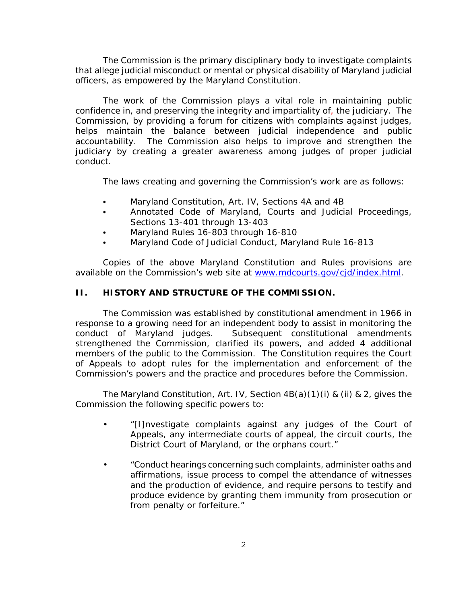The Commission is the primary disciplinary body to investigate complaints that allege judicial misconduct or mental or physical disability of Maryland judicial officers, as empowered by the Maryland Constitution.

 accountability. The Commission also helps to improve and strengthen the The work of the Commission plays a vital role in maintaining public confidence in, and preserving the integrity and impartiality of, the judiciary. The Commission, by providing a forum for citizens with complaints against judges, helps maintain the balance between judicial independence and public judiciary by creating a greater awareness among judges of proper judicial conduct.

The laws creating and governing the Commission's work are as follows:

- Maryland Constitution, Art. IV, Sections 4A and 4B
- Annotated Code of Maryland, Courts and Judicial Proceedings, Sections 13-401 through 13-403
- Maryland Rules 16-803 through 16-810
- Maryland Code of Judicial Conduct, Maryland Rule 16-813

Copies of the above Maryland Constitution and Rules provisions are available on the Commission's web site at www.mdcourts.gov/cjd/index.html.

#### **II. HISTORY AND STRUCTURE OF THE COMMISSION.**

The Commission was established by constitutional amendment in 1966 in response to a growing need for an independent body to assist in monitoring the conduct of Maryland judges. Subsequent constitutional amendments strengthened the Commission, clarified its powers, and added 4 additional members of the public to the Commission. The Constitution requires the Court of Appeals to adopt rules for the implementation and enforcement of the Commission's powers and the practice and procedures before the Commission.

The Maryland Constitution, Art. IV, Section 4B(a)(1)(i) & (ii) & 2, gives the Commission the following specific powers to:

- • "[I]nvestigate complaints against any judges of the Court of Appeals, any intermediate courts of appeal, the circuit courts, the District Court of Maryland, or the orphans court."
- • "Conduct hearings concerning such complaints, administer oaths and affirmations, issue process to compel the attendance of witnesses and the production of evidence, and require persons to testify and produce evidence by granting them immunity from prosecution or from penalty or forfeiture."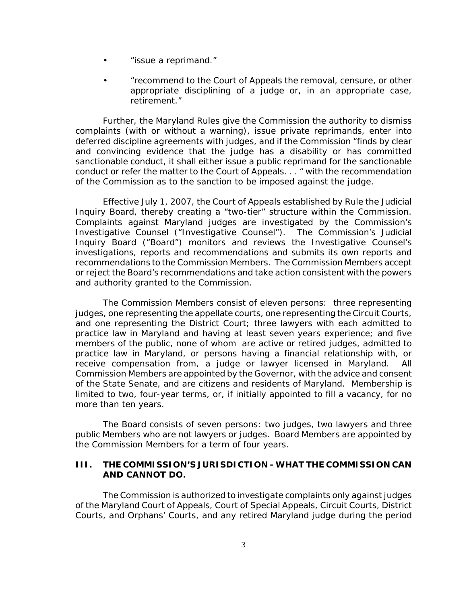- <span id="page-3-0"></span>• "issue a reprimand."
- • "recommend to the Court of Appeals the removal, censure, or other appropriate disciplining of a judge or, in an appropriate case, retirement."

Further, the Maryland Rules give the Commission the authority to dismiss complaints (with or without a warning), issue private reprimands, enter into deferred discipline agreements with judges, and if the Commission "finds by clear and convincing evidence that the judge has a disability or has committed sanctionable conduct, it shall either issue a public reprimand for the sanctionable conduct or refer the matter to the Court of Appeals. . . " with the recommendation of the Commission as to the sanction to be imposed against the judge.

Effective July 1, 2007, the Court of Appeals established by Rule the Judicial Inquiry Board, thereby creating a "two-tier" structure within the Commission. Complaints against Maryland judges are investigated by the Commission's Investigative Counsel ("Investigative Counsel"). The Commission's Judicial Inquiry Board ("Board") monitors and reviews the Investigative Counsel's investigations, reports and recommendations and submits its own reports and recommendations to the Commission Members. The Commission Members accept or reject the Board's recommendations and take action consistent with the powers and authority granted to the Commission.

The Commission Members consist of eleven persons: three representing judges, one representing the appellate courts, one representing the Circuit Courts, and one representing the District Court; three lawyers with each admitted to practice law in Maryland and having at least seven years experience; and five members of the public, none of whom are active or retired judges, admitted to practice law in Maryland, or persons having a financial relationship with, or receive compensation from, a judge or lawyer licensed in Maryland. All Commission Members are appointed by the Governor, with the advice and consent of the State Senate, and are citizens and residents of Maryland. Membership is limited to two, four-year terms, or, if initially appointed to fill a vacancy, for no more than ten years.

The Board consists of seven persons: two judges, two lawyers and three public Members who are not lawyers or judges. Board Members are appointed by the Commission Members for a term of four years.

#### **III. THE COMMISSION'S JURISDICTION - WHAT THE COMMISSION CAN AND CANNOT DO.**

The Commission is authorized to investigate complaints only against judges of the Maryland Court of Appeals, Court of Special Appeals, Circuit Courts, District Courts, and Orphans' Courts, and any retired Maryland judge during the period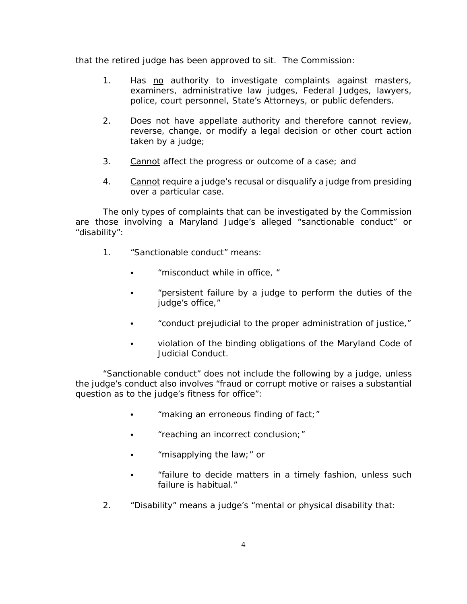<span id="page-4-0"></span>that the retired judge has been approved to sit. The Commission:

- 1. Has no authority to investigate complaints against masters, examiners, administrative law judges, Federal Judges, lawyers, police, court personnel, State's Attorneys, or public defenders.
- 2. Does not have appellate authority and therefore cannot review, reverse, change, or modify a legal decision or other court action taken by a judge;
- 3. Cannot affect the progress or outcome of a case; and
- 4. Cannot require a judge's recusal or disqualify a judge from presiding over a particular case.

The only types of complaints that can be investigated by the Commission are those involving a Maryland Judge's alleged "sanctionable conduct" or "disability":

- 1. "Sanctionable conduct" means:
	- C "misconduct while in office, "
	- "persistent failure by a judge to perform the duties of the judge's office,"
	- conduct prejudicial to the proper administration of justice,"
	- violation of the binding obligations of the Maryland Code of Judicial Conduct.

"Sanctionable conduct" does not include the following by a judge, unless the judge's conduct also involves "fraud or corrupt motive or raises a substantial question as to the judge's fitness for office":

- "making an erroneous finding of fact;"
- "reaching an incorrect conclusion;"
- $\bullet$ "misapplying the law;" or
- C "failure to decide matters in a timely fashion, unless such failure is habitual."
- 2. "Disability" means a judge's "mental or physical disability that: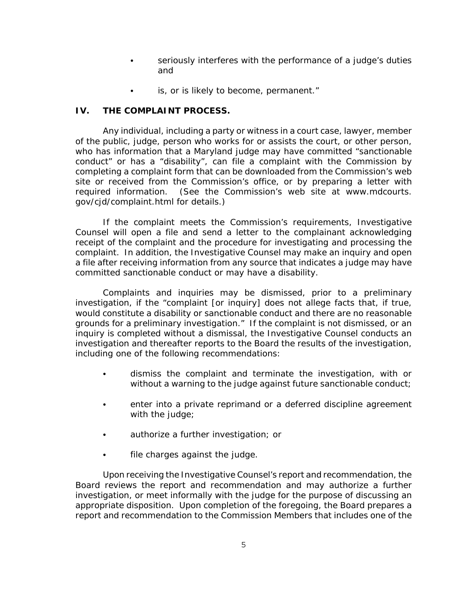- seriously interferes with the performance of a judge's duties and
- is, or is likely to become, permanent."

# <span id="page-5-0"></span>**IV. THE COMPLAINT PROCESS.**

Any individual, including a party or witness in a court case, lawyer, member of the public, judge, person who works for or assists the court, or other person, who has information that a Maryland judge may have committed "sanctionable conduct" or has a "disability", can file a complaint with the Commission by completing a complaint form that can be downloaded from the Commission's web site or received from the Commission's office, or by preparing a letter with required information. (See the Commission's web site at www.mdcourts. gov/cjd/complaint.html for details.)

 Counsel will open a file and send a letter to the complainant acknowledging If the complaint meets the Commission's requirements, Investigative receipt of the complaint and the procedure for investigating and processing the complaint. In addition, the Investigative Counsel may make an inquiry and open a file after receiving information from any source that indicates a judge may have committed sanctionable conduct or may have a disability.

Complaints and inquiries may be dismissed, prior to a preliminary investigation, if the "complaint [or inquiry] does not allege facts that, if true, would constitute a disability or sanctionable conduct and there are no reasonable grounds for a preliminary investigation." If the complaint is not dismissed, or an inquiry is completed without a dismissal, the Investigative Counsel conducts an investigation and thereafter reports to the Board the results of the investigation, including one of the following recommendations:

- **.** dismiss the complaint and terminate the investigation, with or without a warning to the judge against future sanctionable conduct;
- enter into a private reprimand or a deferred discipline agreement with the judge;
- **•** authorize a further investigation; or
- file charges against the judge.

Upon receiving the Investigative Counsel's report and recommendation, the Board reviews the report and recommendation and may authorize a further investigation, or meet informally with the judge for the purpose of discussing an appropriate disposition. Upon completion of the foregoing, the Board prepares a report and recommendation to the Commission Members that includes one of the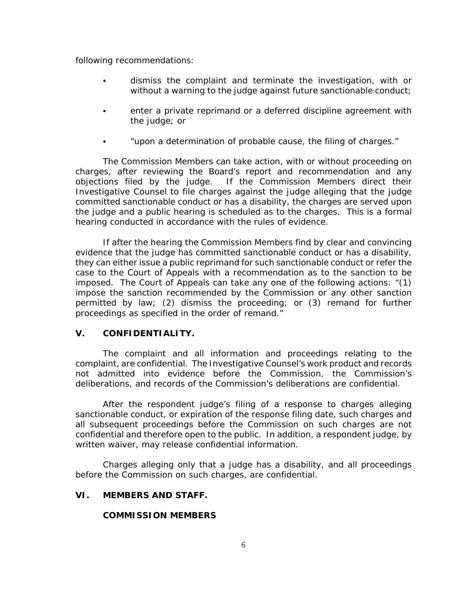following recommendations:

- $\bullet$  dismiss the complaint and terminate the investigation, with or without a warning to the judge against future sanctionable conduct;
- enter a private reprimand or a deferred discipline agreement with the judge; or
- "upon a determination of probable cause, the filing of charges."

The Commission Members can take action, with or without proceeding on charges, after reviewing the Board's report and recommendation and any objections filed by the judge. If the Commission Members direct their Investigative Counsel to file charges against the judge alleging that the judge committed sanctionable conduct or has a disability, the charges are served upon the judge and a public hearing is scheduled as to the charges. This is a formal hearing conducted in accordance with the rules of evidence.

If after the hearing the Commission Members find by clear and convincing evidence that the judge has committed sanctionable conduct or has a disability, they can either issue a public reprimand for such sanctionable conduct or refer the case to the Court of Appeals with a recommendation as to the sanction to be imposed. The Court of Appeals can take any one of the following actions: "(1) impose the sanction recommended by the Commission or any other sanction permitted by law; (2) dismiss the proceeding; or (3) remand for further proceedings as specified in the order of remand."

#### **V. CONFIDENTIALITY.**

 The complaint and all information and proceedings relating to the complaint, are confidential. The Investigative Counsel's work product and records not admitted into evidence before the Commission, the Commission's deliberations, and records of the Commission's deliberations are confidential.

After the respondent judge's filing of a response to charges alleging sanctionable conduct, or expiration of the response filing date, such charges and all subsequent proceedings before the Commission on such charges are not confidential and therefore open to the public. In addition, a respondent judge, by written waiver, may release confidential information.

Charges alleging only that a judge has a disability, and all proceedings before the Commission on such charges, are confidential.

### **VI. MEMBERS AND STAFF.**

#### **COMMISSION MEMBERS**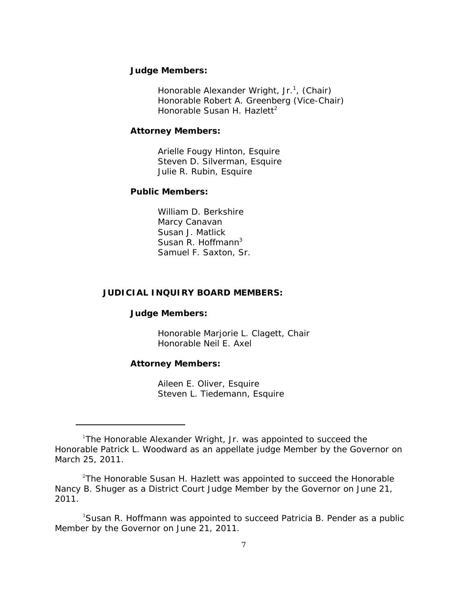#### <span id="page-7-0"></span>**Judge Members:**

Honorable Alexander Wright, Jr.<sup>1</sup>, (Chair) Honorable Robert A. Greenberg (Vice-Chair) Honorable Susan H. Hazlett<sup>2</sup>

#### **Attorney Members:**

Arielle Fougy Hinton, Esquire Steven D. Silverman, Esquire Julie R. Rubin, Esquire

#### **Public Members:**

William D. Berkshire Marcy Canavan Susan J. Matlick Susan R. Hoffmann<sup>3</sup> Samuel F. Saxton, Sr.

#### **JUDICIAL INQUIRY BOARD MEMBERS:**

#### **Judge Members:**

Honorable Marjorie L. Clagett, Chair Honorable Neil E. Axel

#### **Attorney Members:**

Aileen E. Oliver, Esquire Steven L. Tiedemann, Esquire

<sup>3</sup>Susan R. Hoffmann was appointed to succeed Patricia B. Pender as a public Member by the Governor on June 21, 2011.

<sup>&</sup>lt;sup>1</sup>The Honorable Alexander Wright, Jr. was appointed to succeed the Honorable Patrick L. Woodward as an appellate judge Member by the Governor on March 25, 2011.

<sup>&</sup>lt;sup>2</sup>The Honorable Susan H. Hazlett was appointed to succeed the Honorable Nancy B. Shuger as a District Court Judge Member by the Governor on June 21, 2011.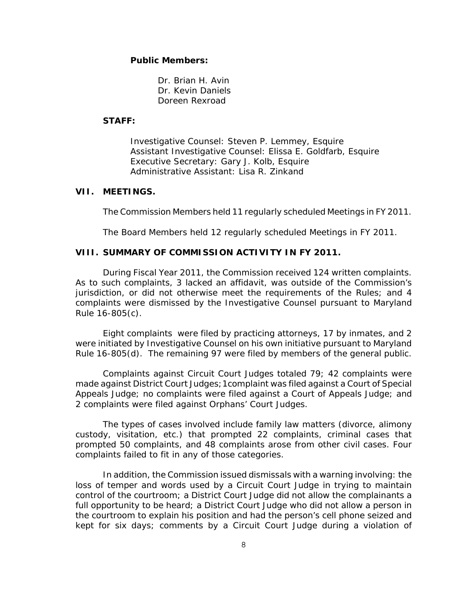#### <span id="page-8-0"></span>**Public Members:**

Dr. Brian H. Avin Dr. Kevin Daniels Doreen Rexroad

#### **STAFF:**

Investigative Counsel: Steven P. Lemmey, Esquire Assistant Investigative Counsel: Elissa E. Goldfarb, Esquire Executive Secretary: Gary J. Kolb, Esquire Administrative Assistant: Lisa R. Zinkand

#### **VII. MEETINGS.**

The Commission Members held 11 regularly scheduled Meetings in FY 2011.

The Board Members held 12 regularly scheduled Meetings in FY 2011.

### **VIII. SUMMARY OF COMMISSION ACTIVITY IN FY 2011.**

During Fiscal Year 2011, the Commission received 124 written complaints. As to such complaints, 3 lacked an affidavit, was outside of the Commission's jurisdiction, or did not otherwise meet the requirements of the Rules; and 4 complaints were dismissed by the Investigative Counsel pursuant to Maryland Rule 16-805(c).

Eight complaints were filed by practicing attorneys, 17 by inmates, and 2 were initiated by Investigative Counsel on his own initiative pursuant to Maryland Rule 16-805(d). The remaining 97 were filed by members of the general public.

Complaints against Circuit Court Judges totaled 79; 42 complaints were made against District Court Judges;1complaint was filed against a Court of Special Appeals Judge; no complaints were filed against a Court of Appeals Judge; and 2 complaints were filed against Orphans' Court Judges.

The types of cases involved include family law matters (divorce, alimony custody, visitation, etc.) that prompted 22 complaints, criminal cases that prompted 50 complaints, and 48 complaints arose from other civil cases. Four complaints failed to fit in any of those categories.

 kept for six days; comments by a Circuit Court Judge during a violation of In addition, the Commission issued dismissals with a warning involving: the loss of temper and words used by a Circuit Court Judge in trying to maintain control of the courtroom; a District Court Judge did not allow the complainants a full opportunity to be heard; a District Court Judge who did not allow a person in the courtroom to explain his position and had the person's cell phone seized and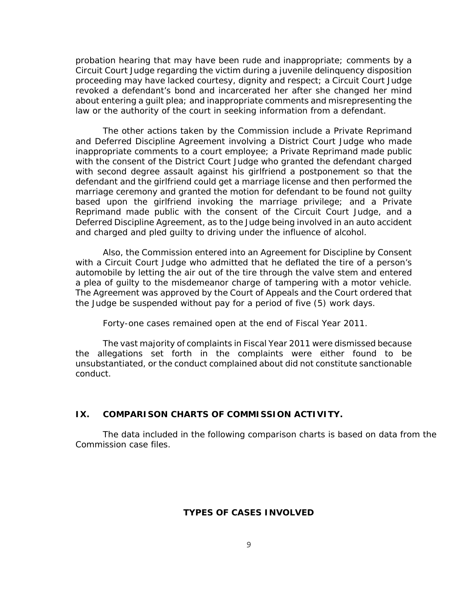<span id="page-9-0"></span>probation hearing that may have been rude and inappropriate; comments by a Circuit Court Judge regarding the victim during a juvenile delinquency disposition proceeding may have lacked courtesy, dignity and respect; a Circuit Court Judge revoked a defendant's bond and incarcerated her after she changed her mind about entering a guilt plea; and inappropriate comments and misrepresenting the law or the authority of the court in seeking information from a defendant.

The other actions taken by the Commission include a Private Reprimand and Deferred Discipline Agreement involving a District Court Judge who made inappropriate comments to a court employee; a Private Reprimand made public with the consent of the District Court Judge who granted the defendant charged with second degree assault against his girlfriend a postponement so that the defendant and the girlfriend could get a marriage license and then performed the marriage ceremony and granted the motion for defendant to be found not guilty based upon the girlfriend invoking the marriage privilege; and a Private Reprimand made public with the consent of the Circuit Court Judge, and a Deferred Discipline Agreement, as to the Judge being involved in an auto accident and charged and pled guilty to driving under the influence of alcohol.

 a plea of guilty to the misdemeanor charge of tampering with a motor vehicle. Also, the Commission entered into an Agreement for Discipline by Consent with a Circuit Court Judge who admitted that he deflated the tire of a person's automobile by letting the air out of the tire through the valve stem and entered The Agreement was approved by the Court of Appeals and the Court ordered that the Judge be suspended without pay for a period of five (5) work days.

Forty-one cases remained open at the end of Fiscal Year 2011.

The vast majority of complaints in Fiscal Year 2011 were dismissed because the allegations set forth in the complaints were either found to be unsubstantiated, or the conduct complained about did not constitute sanctionable conduct.

#### **IX. COMPARISON CHARTS OF COMMISSION ACTIVITY.**

The data included in the following comparison charts is based on data from the Commission case files.

### **TYPES OF CASES INVOLVED**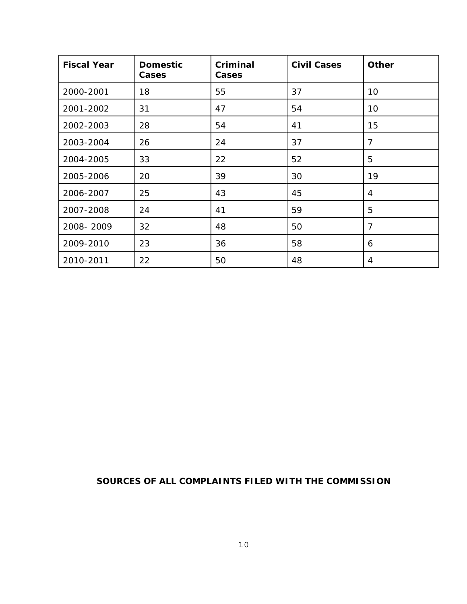| <b>Fiscal Year</b> | <b>Domestic</b><br>Cases | Criminal<br>Cases | <b>Civil Cases</b> | Other          |
|--------------------|--------------------------|-------------------|--------------------|----------------|
| 2000-2001          | 18                       | 55                | 37                 | 10             |
| 2001-2002          | 31                       | 47                | 54                 | 10             |
| 2002-2003          | 28                       | 54                | 41                 | 15             |
| 2003-2004          | 26                       | 24                | 37                 | $\overline{7}$ |
| 2004-2005          | 33                       | 22                | 52                 | 5              |
| 2005-2006          | 20                       | 39                | 30                 | 19             |
| 2006-2007          | 25                       | 43                | 45                 | 4              |
| 2007-2008          | 24                       | 41                | 59                 | 5              |
| 2008-2009          | 32                       | 48                | 50                 | $\overline{7}$ |
| 2009-2010          | 23                       | 36                | 58                 | 6              |
| 2010-2011          | 22                       | 50                | 48                 | 4              |

# **SOURCES OF ALL COMPLAINTS FILED WITH THE COMMISSION**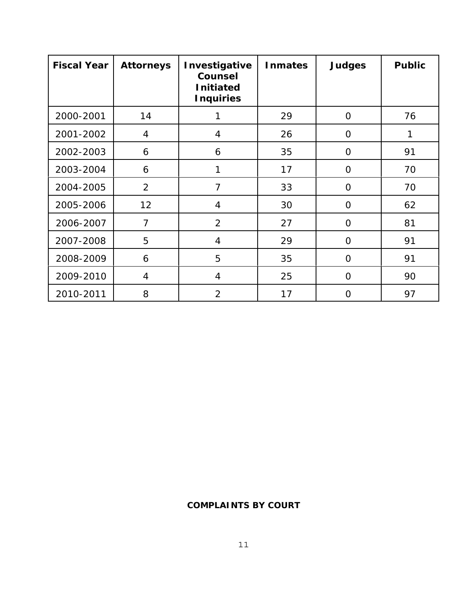| <b>Fiscal Year</b> | <b>Attorneys</b> | Investigative<br>Counsel<br><b>Initiated</b><br><b>Inquiries</b> | <b>Inmates</b> | <b>Judges</b>  | <b>Public</b> |
|--------------------|------------------|------------------------------------------------------------------|----------------|----------------|---------------|
| 2000-2001          | 14               | 1                                                                | 29             | $\overline{0}$ | 76            |
| 2001-2002          | 4                | 4                                                                | 26             | $\Omega$       |               |
| 2002-2003          | 6                | 6                                                                | 35             | $\overline{O}$ | 91            |
| 2003-2004          | 6                | 1                                                                | 17             | $\overline{O}$ | 70            |
| 2004-2005          | $\overline{2}$   | 7                                                                | 33             | $\Omega$       | 70            |
| 2005-2006          | 12               | $\overline{4}$                                                   | 30             | $\overline{O}$ | 62            |
| 2006-2007          | $\overline{7}$   | $\overline{2}$                                                   | 27             | $\Omega$       | 81            |
| 2007-2008          | 5                | $\overline{4}$                                                   | 29             | 0              | 91            |
| 2008-2009          | 6                | 5                                                                | 35             | $\overline{O}$ | 91            |
| 2009-2010          | $\overline{4}$   | $\overline{4}$                                                   | 25             | $\overline{O}$ | 90            |
| 2010-2011          | 8                | $\overline{2}$                                                   | 17             | $\Omega$       | 97            |

# **COMPLAINTS BY COURT**